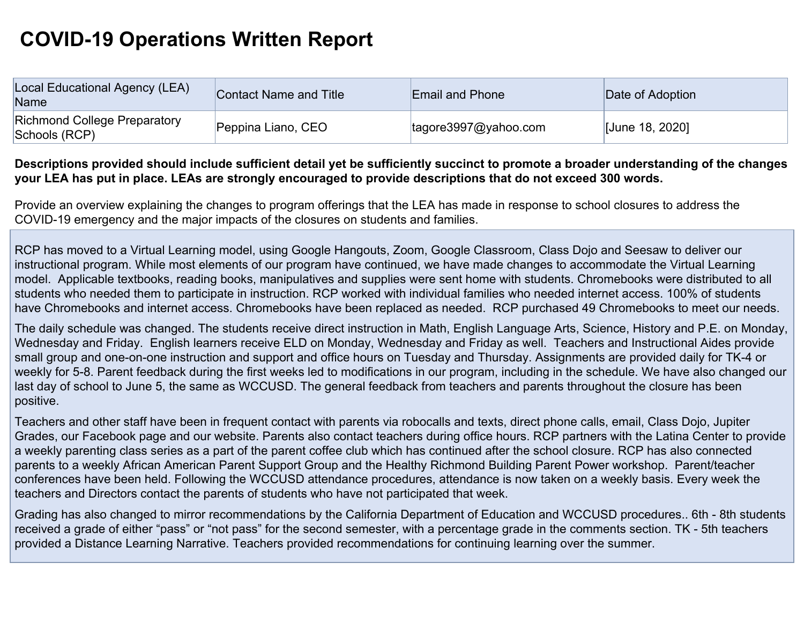## **COVID-19 Operations Written Report**

| Local Educational Agency (LEA)<br>Name               | <b>Contact Name and Title</b> | <b>Email and Phone</b>        | Date of Adoption |
|------------------------------------------------------|-------------------------------|-------------------------------|------------------|
| <b>Richmond College Preparatory</b><br>Schools (RCP) | Peppina Liano, CEO            | $\text{tagore3997@yahoo.com}$ | [June 18, 2020]  |

## **Descriptions provided should include sufficient detail yet be sufficiently succinct to promote a broader understanding of the changes your LEA has put in place. LEAs are strongly encouraged to provide descriptions that do not exceed 300 words.**

Provide an overview explaining the changes to program offerings that the LEA has made in response to school closures to address the COVID-19 emergency and the major impacts of the closures on students and families.

RCP has moved to a Virtual Learning model, using Google Hangouts, Zoom, Google Classroom, Class Dojo and Seesaw to deliver our instructional program. While most elements of our program have continued, we have made changes to accommodate the Virtual Learning model. Applicable textbooks, reading books, manipulatives and supplies were sent home with students. Chromebooks were distributed to all students who needed them to participate in instruction. RCP worked with individual families who needed internet access. 100% of students have Chromebooks and internet access. Chromebooks have been replaced as needed. RCP purchased 49 Chromebooks to meet our needs.

The daily schedule was changed. The students receive direct instruction in Math, English Language Arts, Science, History and P.E. on Monday, Wednesday and Friday. English learners receive ELD on Monday, Wednesday and Friday as well. Teachers and Instructional Aides provide small group and one-on-one instruction and support and office hours on Tuesday and Thursday. Assignments are provided daily for TK-4 or weekly for 5-8. Parent feedback during the first weeks led to modifications in our program, including in the schedule. We have also changed our last day of school to June 5, the same as WCCUSD. The general feedback from teachers and parents throughout the closure has been positive.

Teachers and other staff have been in frequent contact with parents via robocalls and texts, direct phone calls, email, Class Dojo, Jupiter Grades, our Facebook page and our website. Parents also contact teachers during office hours. RCP partners with the Latina Center to provide a weekly parenting class series as a part of the parent coffee club which has continued after the school closure. RCP has also connected parents to a weekly African American Parent Support Group and the Healthy Richmond Building Parent Power workshop. Parent/teacher conferences have been held. Following the WCCUSD attendance procedures, attendance is now taken on a weekly basis. Every week the teachers and Directors contact the parents of students who have not participated that week.

Grading has also changed to mirror recommendations by the California Department of Education and WCCUSD procedures.. 6th - 8th students received a grade of either "pass" or "not pass" for the second semester, with a percentage grade in the comments section. TK - 5th teachers provided a Distance Learning Narrative. Teachers provided recommendations for continuing learning over the summer.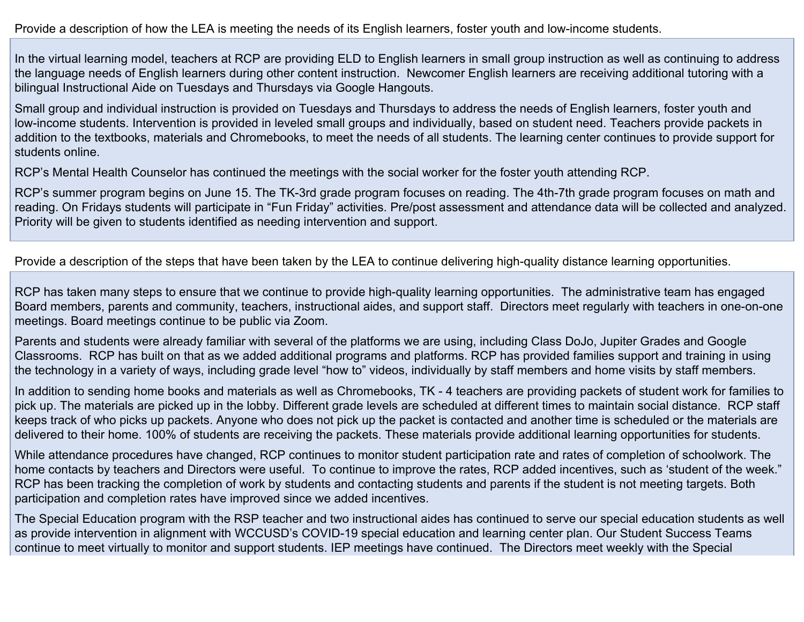Provide a description of how the LEA is meeting the needs of its English learners, foster youth and low-income students.

In the virtual learning model, teachers at RCP are providing ELD to English learners in small group instruction as well as continuing to address the language needs of English learners during other content instruction. Newcomer English learners are receiving additional tutoring with a bilingual Instructional Aide on Tuesdays and Thursdays via Google Hangouts.

Small group and individual instruction is provided on Tuesdays and Thursdays to address the needs of English learners, foster youth and low-income students. Intervention is provided in leveled small groups and individually, based on student need. Teachers provide packets in addition to the textbooks, materials and Chromebooks, to meet the needs of all students. The learning center continues to provide support for students online.

RCP's Mental Health Counselor has continued the meetings with the social worker for the foster youth attending RCP.

RCP's summer program begins on June 15. The TK-3rd grade program focuses on reading. The 4th-7th grade program focuses on math and reading. On Fridays students will participate in "Fun Friday" activities. Pre/post assessment and attendance data will be collected and analyzed. Priority will be given to students identified as needing intervention and support.

Provide a description of the steps that have been taken by the LEA to continue delivering high-quality distance learning opportunities.

RCP has taken many steps to ensure that we continue to provide high-quality learning opportunities. The administrative team has engaged Board members, parents and community, teachers, instructional aides, and support staff. Directors meet regularly with teachers in one-on-one meetings. Board meetings continue to be public via Zoom.

Parents and students were already familiar with several of the platforms we are using, including Class DoJo, Jupiter Grades and Google Classrooms. RCP has built on that as we added additional programs and platforms. RCP has provided families support and training in using the technology in a variety of ways, including grade level "how to" videos, individually by staff members and home visits by staff members.

In addition to sending home books and materials as well as Chromebooks, TK - 4 teachers are providing packets of student work for families to pick up. The materials are picked up in the lobby. Different grade levels are scheduled at different times to maintain social distance. RCP staff keeps track of who picks up packets. Anyone who does not pick up the packet is contacted and another time is scheduled or the materials are delivered to their home. 100% of students are receiving the packets. These materials provide additional learning opportunities for students.

While attendance procedures have changed, RCP continues to monitor student participation rate and rates of completion of schoolwork. The home contacts by teachers and Directors were useful. To continue to improve the rates, RCP added incentives, such as 'student of the week." RCP has been tracking the completion of work by students and contacting students and parents if the student is not meeting targets. Both participation and completion rates have improved since we added incentives.

The Special Education program with the RSP teacher and two instructional aides has continued to serve our special education students as well as provide intervention in alignment with WCCUSD's COVID-19 special education and learning center plan. Our Student Success Teams continue to meet virtually to monitor and support students. IEP meetings have continued. The Directors meet weekly with the Special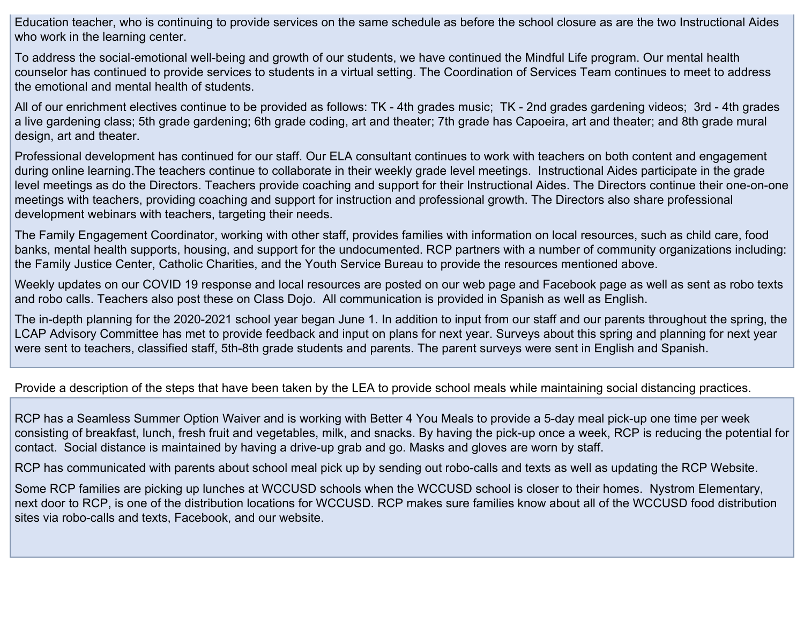Education teacher, who is continuing to provide services on the same schedule as before the school closure as are the two Instructional Aides who work in the learning center.

To address the social-emotional well-being and growth of our students, we have continued the Mindful Life program. Our mental health counselor has continued to provide services to students in a virtual setting. The Coordination of Services Team continues to meet to address the emotional and mental health of students.

All of our enrichment electives continue to be provided as follows: TK - 4th grades music; TK - 2nd grades gardening videos; 3rd - 4th grades a live gardening class; 5th grade gardening; 6th grade coding, art and theater; 7th grade has Capoeira, art and theater; and 8th grade mural design, art and theater.

Professional development has continued for our staff. Our ELA consultant continues to work with teachers on both content and engagement during online learning.The teachers continue to collaborate in their weekly grade level meetings. Instructional Aides participate in the grade level meetings as do the Directors. Teachers provide coaching and support for their Instructional Aides. The Directors continue their one-on-one meetings with teachers, providing coaching and support for instruction and professional growth. The Directors also share professional development webinars with teachers, targeting their needs.

The Family Engagement Coordinator, working with other staff, provides families with information on local resources, such as child care, food banks, mental health supports, housing, and support for the undocumented. RCP partners with a number of community organizations including: the Family Justice Center, Catholic Charities, and the Youth Service Bureau to provide the resources mentioned above.

Weekly updates on our COVID 19 response and local resources are posted on our web page and Facebook page as well as sent as robo texts and robo calls. Teachers also post these on Class Dojo. All communication is provided in Spanish as well as English.

The in-depth planning for the 2020-2021 school year began June 1. In addition to input from our staff and our parents throughout the spring, the LCAP Advisory Committee has met to provide feedback and input on plans for next year. Surveys about this spring and planning for next year were sent to teachers, classified staff, 5th-8th grade students and parents. The parent surveys were sent in English and Spanish.

Provide a description of the steps that have been taken by the LEA to provide school meals while maintaining social distancing practices.

RCP has a Seamless Summer Option Waiver and is working with Better 4 You Meals to provide a 5-day meal pick-up one time per week consisting of breakfast, lunch, fresh fruit and vegetables, milk, and snacks. By having the pick-up once a week, RCP is reducing the potential for contact. Social distance is maintained by having a drive-up grab and go. Masks and gloves are worn by staff.

RCP has communicated with parents about school meal pick up by sending out robo-calls and texts as well as updating the RCP Website.

Some RCP families are picking up lunches at WCCUSD schools when the WCCUSD school is closer to their homes. Nystrom Elementary, next door to RCP, is one of the distribution locations for WCCUSD. RCP makes sure families know about all of the WCCUSD food distribution sites via robo-calls and texts, Facebook, and our website.